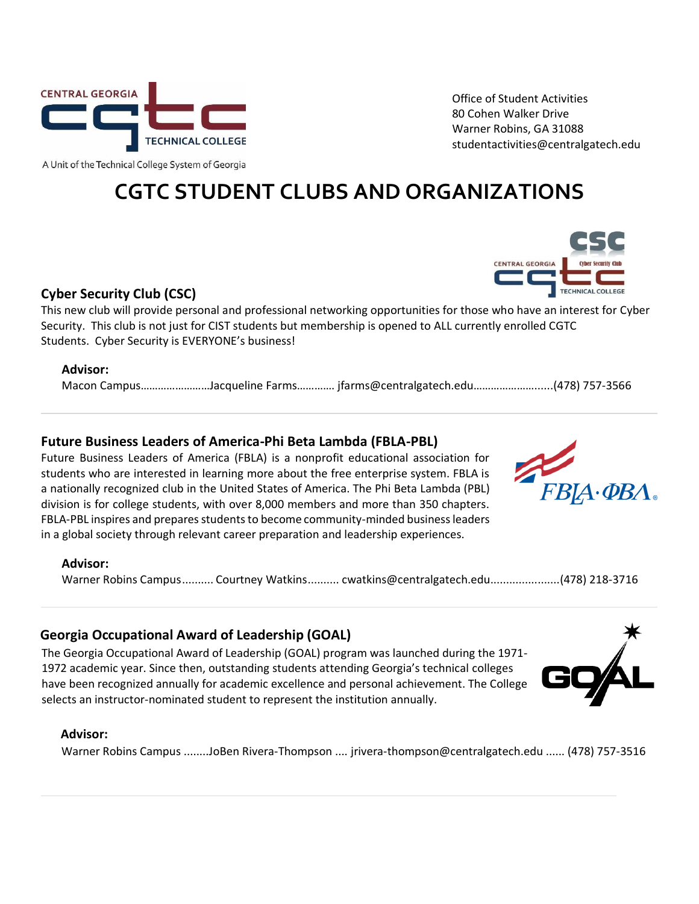

Office of Student Activities 80 Cohen Walker Drive Warner Robins, GA 31088 studentactivities@centralgatech.edu

A Unit of the Technical College System of Georgia

# **CGTC STUDENT CLUBS AND ORGANIZATIONS**

# **Cyber Security Club (CSC)**

This new club will provide personal and professional networking opportunities for those who have an interest for Cyber Security. This club is not just for CIST students but membership is opened to ALL currently enrolled CGTC Students. Cyber Security is EVERYONE's business!

# **Advisor:**

Macon Campus……………………Jacqueline Farms…………. jfarms@centralgatech.edu…………………......(478) 757-3566

# **Future Business Leaders of America-Phi Beta Lambda (FBLA-PBL)**

Future Business Leaders of America (FBLA) is a nonprofit educational association for students who are interested in learning more about the free enterprise system. FBLA is a nationally recognized club in the United States of America. The Phi Beta Lambda (PBL) division is for college students, with over 8,000 members and more than 350 chapters. FBLA-PBL inspires and prepares students to become community-minded business leaders in a global society through relevant career preparation and leadership experiences.



#### **Advisor:**

Warner Robins Campus.......... Courtney Watkins.......... cwatkins@centralgatech.edu......................(478) 218-3716

# **Georgia Occupational Award of Leadership (GOAL)**

The Georgia Occupational Award of Leadership (GOAL) program was launched during the 1971- 1972 academic year. Since then, outstanding students attending Georgia's technical colleges have been recognized annually for academic excellence and personal achievement. The College selects an instructor-nominated student to represent the institution annually.

#### **Advisor:**

Warner Robins Campus ........JoBen Rivera-Thompson .... jrivera-thompson@centralgatech.edu ...... (478) 757-3516



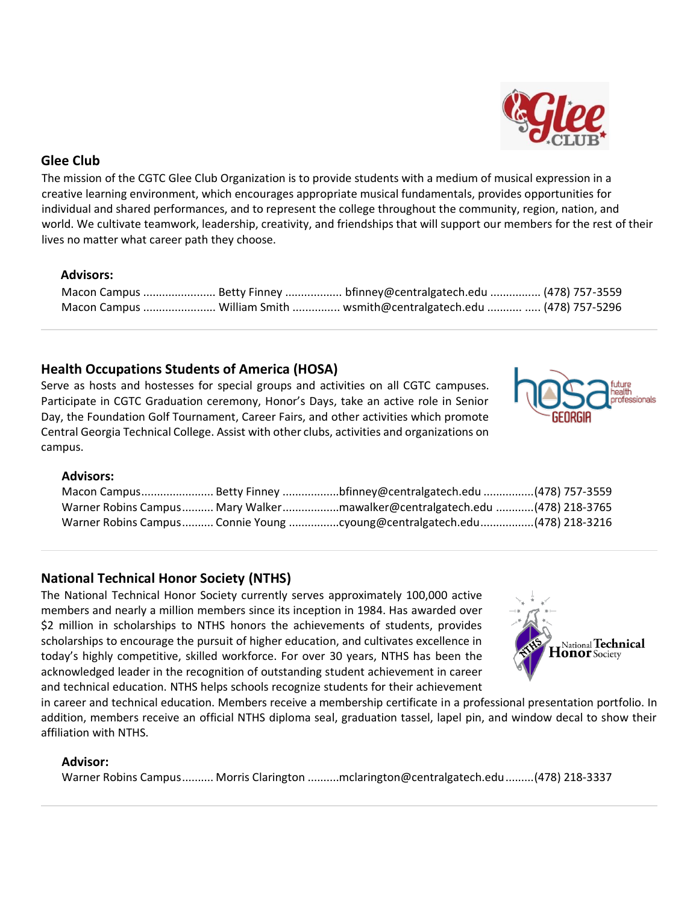# **Glee Club**

The mission of the CGTC Glee Club Organization is to provide students with a medium of musical expression in a creative learning environment, which encourages appropriate musical fundamentals, provides opportunities for individual and shared performances, and to represent the college throughout the community, region, nation, and world. We cultivate teamwork, leadership, creativity, and friendships that will support our members for the rest of their lives no matter what career path they choose.

## **Advisors:**

|  | Macon Campus  Betty Finney  bfinney@centralgatech.edu  (478) 757-3559  |  |
|--|------------------------------------------------------------------------|--|
|  | Macon Campus  William Smith  wsmith@centralgatech.edu   (478) 757-5296 |  |

# **Health Occupations Students of America (HOSA)**

Serve as hosts and hostesses for special groups and activities on all CGTC campuses. Participate in CGTC Graduation ceremony, Honor's Days, take an active role in Senior Day, the Foundation Golf Tournament, Career Fairs, and other activities which promote Central Georgia Technical College. Assist with other clubs, activities and organizations on campus.

#### **Advisors:**

|  | Macon Campus Betty Finney bfinney@centralgatech.edu (478) 757-3559        |  |
|--|---------------------------------------------------------------------------|--|
|  | Warner Robins Campus Mary Walkermawalker@centralgatech.edu (478) 218-3765 |  |
|  |                                                                           |  |

## **National Technical Honor Society (NTHS)**

The National Technical Honor Society currently serves approximately 100,000 active members and nearly a million members since its inception in 1984. Has awarded over \$2 million in scholarships to NTHS honors the achievements of students, provides scholarships to encourage the pursuit of higher education, and cultivates excellence in today's highly competitive, skilled workforce. For over 30 years, NTHS has been the acknowledged leader in the recognition of outstanding student achievement in career and technical education. NTHS helps schools recognize students for their achievement

in career and technical education. Members receive a membership certificate in a professional presentation portfolio. In addition, members receive an official NTHS diploma seal, graduation tassel, lapel pin, and window decal to show their affiliation with NTHS.

#### **Advisor:**

Warner Robins Campus.......... Morris Clarington ..........mclarington@centralgatech.edu.........(478) 218-3337





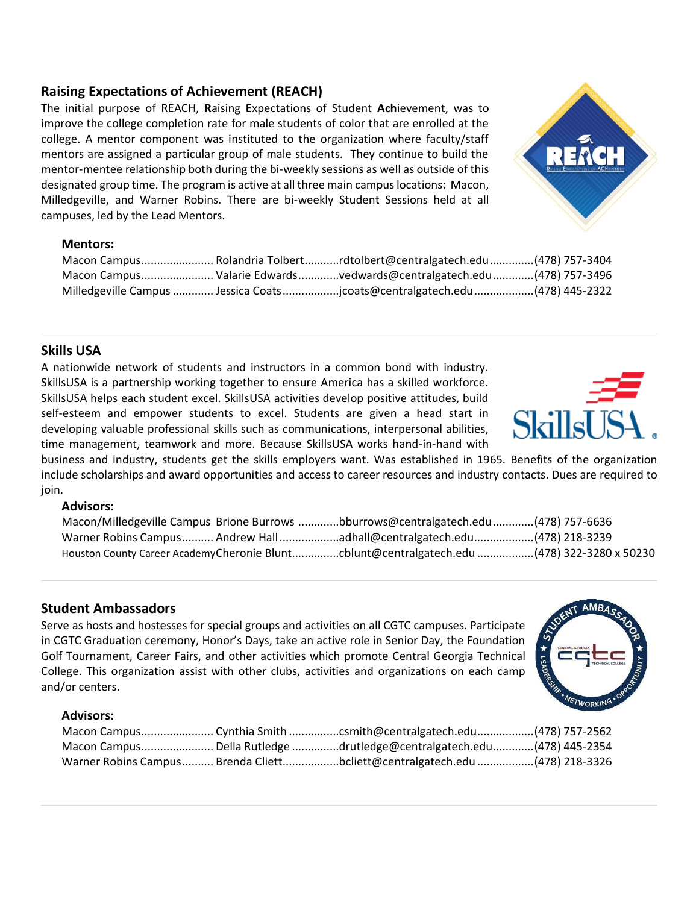# **Raising Expectations of Achievement (REACH)**

The initial purpose of REACH, **R**aising **E**xpectations of Student **Ach**ievement, was to improve the college completion rate for male students of color that are enrolled at the college. A mentor component was instituted to the organization where faculty/staff mentors are assigned a particular group of male students. They continue to build the mentor-mentee relationship both during the bi-weekly sessions as well as outside of this designated group time. The program is active at all three main campus locations: Macon, Milledgeville, and Warner Robins. There are bi-weekly Student Sessions held at all campuses, led by the Lead Mentors.

#### **Mentors:**

|  | Macon CampusRolandria Tolbertrdtolbert@centralgatech.edu(478) 757-3404     |  |
|--|----------------------------------------------------------------------------|--|
|  | Macon Campus Valarie Edwardsvedwards@centralgatech.edu(478) 757-3496       |  |
|  | Milledgeville Campus  Jessica Coats jcoats@centralgatech.edu(478) 445-2322 |  |

# **Skills USA**

A nationwide network of students and instructors in a common bond with industry. SkillsUSA is a partnership working together to ensure America has a skilled workforce. SkillsUSA helps each student excel. SkillsUSA activities develop positive attitudes, build self-esteem and empower students to excel. Students are given a head start in developing valuable professional skills such as communications, interpersonal abilities, time management, teamwork and more. Because SkillsUSA works hand-in-hand with

business and industry, students get the skills employers want. Was established in 1965. Benefits of the organization include scholarships and award opportunities and access to career resources and industry contacts. Dues are required to join.

#### **Advisors:**

|  | Macon/Milledgeville Campus Brione Burrows bburrows@centralgatech.edu (478) 757-6636        |  |
|--|--------------------------------------------------------------------------------------------|--|
|  | Warner Robins Campus Andrew Hall adhall@centralgatech.edu(478) 218-3239                    |  |
|  | Houston County Career AcademyCheronie Bluntcblunt@centralgatech.edu (478) 322-3280 x 50230 |  |

## **Student Ambassadors**

Serve as hosts and hostesses for special groups and activities on all CGTC campuses. Participate in CGTC Graduation ceremony, Honor's Days, take an active role in Senior Day, the Foundation Golf Tournament, Career Fairs, and other activities which promote Central Georgia Technical College. This organization assist with other clubs, activities and organizations on each camp and/or centers.

#### **Advisors:**

|  | Macon Campus Cynthia Smith csmith@centralgatech.edu(478) 757-2562         |  |
|--|---------------------------------------------------------------------------|--|
|  | Macon Campus Della Rutledge drutledge@centralgatech.edu(478) 445-2354     |  |
|  | Warner Robins Campus Brenda Cliettbcliett@centralgatech.edu(478) 218-3326 |  |





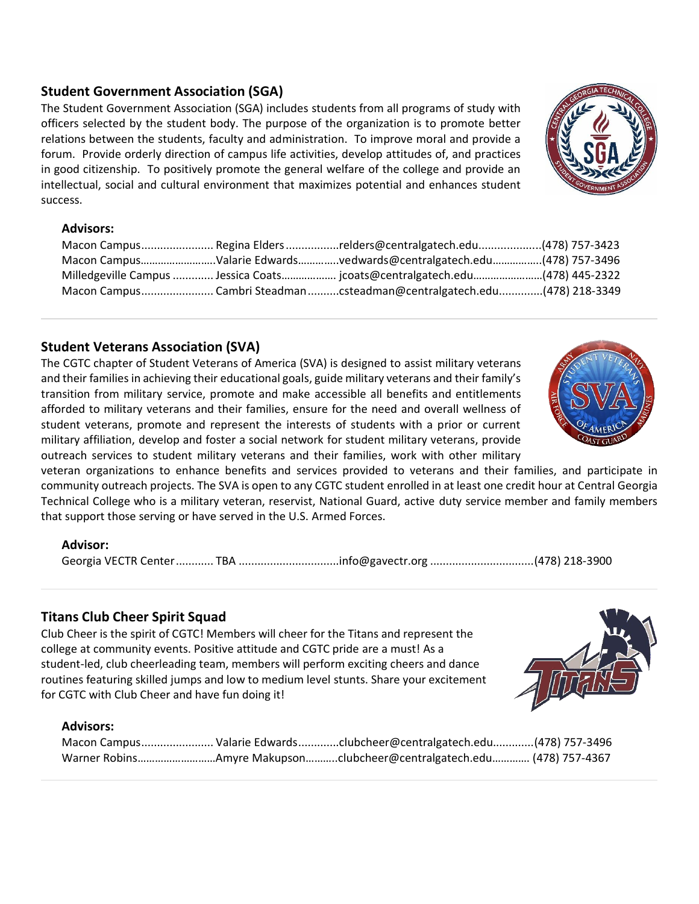# **Student Government Association (SGA)**

The Student Government Association (SGA) includes students from all programs of study with officers selected by the student body. The purpose of the organization is to promote better relations between the students, faculty and administration. To improve moral and provide a forum. Provide orderly direction of campus life activities, develop attitudes of, and practices in good citizenship. To positively promote the general welfare of the college and provide an intellectual, social and cultural environment that maximizes potential and enhances student success.

## **Advisors:**

|  | Macon Campus Regina Eldersrelders@centralgatech.edu(478) 757-3423          |  |
|--|----------------------------------------------------------------------------|--|
|  | Macon CampusValarie Edwardsvedwards@centralgatech.edu(478) 757-3496        |  |
|  | Milledgeville Campus  Jessica Coats jcoats@centralgatech.edu(478) 445-2322 |  |
|  | Macon CampusCambri Steadman csteadman@centralgatech.edu(478) 218-3349      |  |

# **Student Veterans Association (SVA)**

The CGTC chapter of Student Veterans of America (SVA) is designed to assist military veterans and their families in achieving their educational goals, guide military veterans and their family's transition from military service, promote and make accessible all benefits and entitlements afforded to military veterans and their families, ensure for the need and overall wellness of student veterans, promote and represent the interests of students with a prior or current military affiliation, develop and foster a social network for student military veterans, provide outreach services to student military veterans and their families, work with other military

veteran organizations to enhance benefits and services provided to veterans and their families, and participate in community outreach projects. The SVA is open to any CGTC student enrolled in at least one credit hour at Central Georgia Technical College who is a military veteran, reservist, National Guard, active duty service member and family members that support those serving or have served in the U.S. Armed Forces.

## **Advisor:**

Georgia VECTR Center............ TBA ................................info@gavectr.org .................................(478) 218-3900

# **Titans Club Cheer Spirit Squad**

Club Cheer is the spirit of CGTC! Members will cheer for the Titans and represent the college at community events. Positive attitude and CGTC pride are a must! As a student-led, club cheerleading team, members will perform exciting cheers and dance routines featuring skilled jumps and low to medium level stunts. Share your excitement for CGTC with Club Cheer and have fun doing it!

#### **Advisors:**

|  | Macon Campus Valarie Edwardsclubcheer@centralgatech.edu(478) 757-3496 |  |
|--|-----------------------------------------------------------------------|--|
|  | Warner RobinsAmyre Makupsonclubcheer@centralgatech.edu (478) 757-4367 |  |